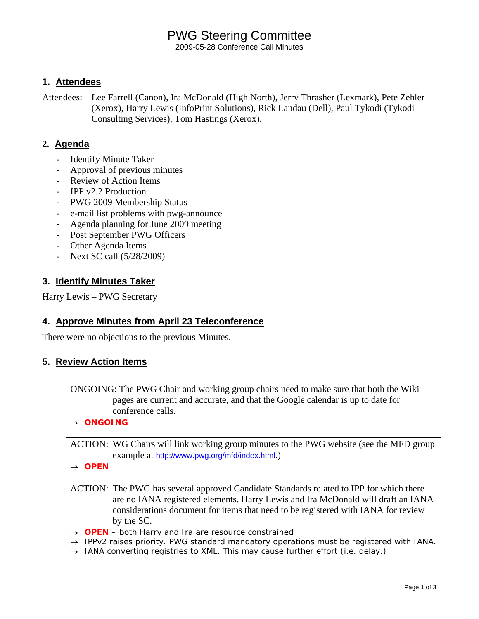# PWG Steering Committee

2009-05-28 Conference Call Minutes

#### **1. Attendees**

Attendees: Lee Farrell (Canon), Ira McDonald (High North), Jerry Thrasher (Lexmark), Pete Zehler (Xerox), Harry Lewis (InfoPrint Solutions), Rick Landau (Dell), Paul Tykodi (Tykodi Consulting Services), Tom Hastings (Xerox).

#### **2. Agenda**

- **Identify Minute Taker**
- Approval of previous minutes
- Review of Action Items
- IPP v2.2 Production
- PWG 2009 Membership Status
- e-mail list problems with pwg-announce
- Agenda planning for June 2009 meeting
- Post September PWG Officers
- Other Agenda Items
- Next SC call (5/28/2009)

#### **3. Identify Minutes Taker**

Harry Lewis – PWG Secretary

#### **4. Approve Minutes from April 23 Teleconference**

There were no objections to the previous Minutes.

#### **5. Review Action Items**

ONGOING: The PWG Chair and working group chairs need to make sure that both the Wiki pages are current and accurate, and that the Google calendar is up to date for conference calls.

#### → *ONGOING*

ACTION: WG Chairs will link working group minutes to the PWG website (see the MFD group example at http://www.pwg.org/mfd/index.html.)

→ *OPEN*

ACTION: The PWG has several approved Candidate Standards related to IPP for which there are no IANA registered elements. Harry Lewis and Ira McDonald will draft an IANA considerations document for items that need to be registered with IANA for review by the SC.

- → *OPEN both Harry and Ira are resource constrained*
- → *IPPv2 raises priority. PWG standard mandatory operations must be registered with IANA.*
- → *IANA converting registries to XML. This may cause further effort (i.e. delay.)*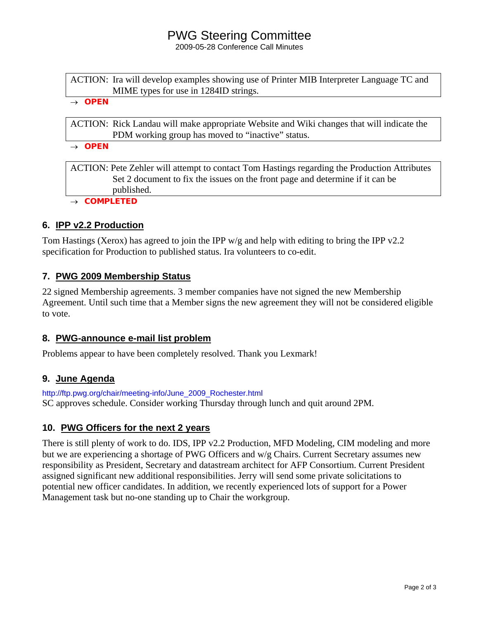### PWG Steering Committee

2009-05-28 Conference Call Minutes

ACTION: Ira will develop examples showing use of Printer MIB Interpreter Language TC and MIME types for use in 1284ID strings.

#### → *OPEN*

ACTION: Rick Landau will make appropriate Website and Wiki changes that will indicate the PDM working group has moved to "inactive" status.

→ *OPEN*

ACTION: Pete Zehler will attempt to contact Tom Hastings regarding the Production Attributes Set 2 document to fix the issues on the front page and determine if it can be published.

→ *COMPLETED*

#### **6. IPP v2.2 Production**

Tom Hastings (Xerox) has agreed to join the IPP w/g and help with editing to bring the IPP v2.2 specification for Production to published status. Ira volunteers to co-edit.

#### **7. PWG 2009 Membership Status**

22 signed Membership agreements. 3 member companies have not signed the new Membership Agreement. Until such time that a Member signs the new agreement they will not be considered eligible to vote.

#### **8. PWG-announce e-mail list problem**

Problems appear to have been completely resolved. Thank you Lexmark!

#### **9. June Agenda**

http://ftp.pwg.org/chair/meeting-info/June\_2009\_Rochester.html SC approves schedule. Consider working Thursday through lunch and quit around 2PM.

### **10. PWG Officers for the next 2 years**

There is still plenty of work to do. IDS, IPP v2.2 Production, MFD Modeling, CIM modeling and more but we are experiencing a shortage of PWG Officers and w/g Chairs. Current Secretary assumes new responsibility as President, Secretary and datastream architect for AFP Consortium. Current President assigned significant new additional responsibilities. Jerry will send some private solicitations to potential new officer candidates. In addition, we recently experienced lots of support for a Power Management task but no-one standing up to Chair the workgroup.